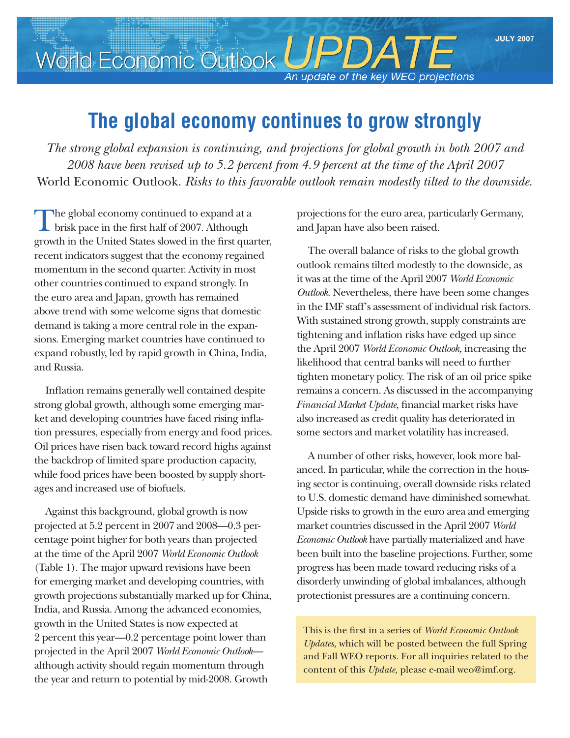## World Economic Outlook UPDATE

An update of the key WEO projections

## **The global economy continues to grow strongly**

*The strong global expansion is continuing, and projections for global growth in both 2007 and 2008 have been revised up to 5.2 percent from 4.9 percent at the time of the April 2007*  World Economic Outlook. *Risks to this favorable outlook remain modestly tilted to the downside.*

The global economy continued to expand at a brisk pace in the first half of 2007. Although growth in the United States slowed in the first quarter, recent indicators suggest that the economy regained momentum in the second quarter. Activity in most other countries continued to expand strongly. In the euro area and Japan, growth has remained above trend with some welcome signs that domestic demand is taking a more central role in the expansions. Emerging market countries have continued to expand robustly, led by rapid growth in China, India, and Russia.

Inflation remains generally well contained despite strong global growth, although some emerging market and developing countries have faced rising inflation pressures, especially from energy and food prices. Oil prices have risen back toward record highs against the backdrop of limited spare production capacity, while food prices have been boosted by supply short– ages and increased use of biofuels.

Against this background, global growth is now projected at 5.2 percent in 2007 and 2008—0.3 per‑ centage point higher for both years than projected at the time of the April 2007 *World Economic Outlook* (Table 1). The major upward revisions have been for emerging market and developing countries, with growth projections substantially marked up for China, India, and Russia. Among the advanced economies, growth in the United States is now expected at 2 percent this year—0.2 percentage point lower than projected in the April 2007 *World Economic Outlook* although activity should regain momentum through the year and return to potential by mid-2008. Growth

projections for the euro area, particularly Germany, and Japan have also been raised.

The overall balance of risks to the global growth outlook remains tilted modestly to the downside, as it was at the time of the April 2007 *World Economic Outlook*. Nevertheless, there have been some changes in the IMF staff's assessment of individual risk factors. With sustained strong growth, supply constraints are tightening and inflation risks have edged up since the April 2007 *World Economic Outlook,* increasing the likelihood that central banks will need to further tighten monetary policy. The risk of an oil price spike remains a concern. As discussed in the accompanying *Financial Market Update,* financial market risks have also increased as credit quality has deteriorated in some sectors and market volatility has increased.

A number of other risks, however, look more bal‑ anced. In particular, while the correction in the housing sector is continuing, overall downside risks related to U.S. domestic demand have diminished somewhat. Upside risks to growth in the euro area and emerging market countries discussed in the April 2007 *World Economic Outlook* have partially materialized and have been built into the baseline projections. Further, some progress has been made toward reducing risks of a disorderly unwinding of global imbalances, although protectionist pressures are a continuing concern.

This is the first in a series of *World Economic Outlook Updates,* which will be posted between the full Spring and Fall WEO reports*.* For all inquiries related to the content of this *Update,* please e‑mail weo@imf.org.